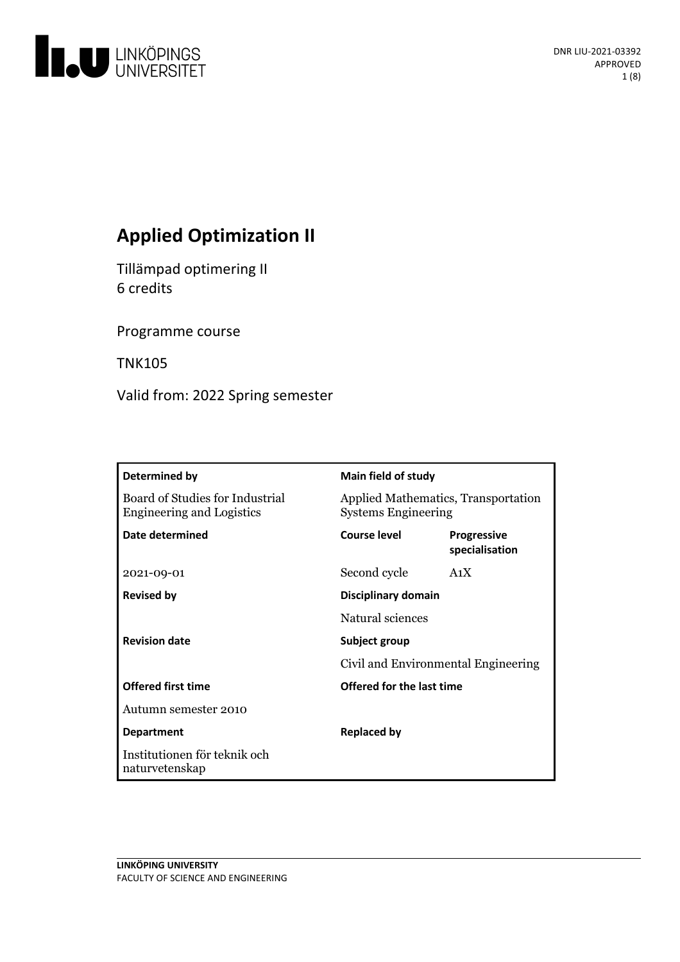

# **Applied Optimization II**

Tillämpad optimering II 6 credits

Programme course

TNK105

Valid from: 2022 Spring semester

| Determined by                                                       | <b>Main field of study</b>                                        |                               |
|---------------------------------------------------------------------|-------------------------------------------------------------------|-------------------------------|
| Board of Studies for Industrial<br><b>Engineering and Logistics</b> | Applied Mathematics, Transportation<br><b>Systems Engineering</b> |                               |
| Date determined                                                     | <b>Course level</b>                                               | Progressive<br>specialisation |
| 2021-09-01                                                          | Second cycle                                                      | A <sub>1</sub> X              |
| <b>Revised by</b>                                                   | Disciplinary domain                                               |                               |
|                                                                     | Natural sciences                                                  |                               |
| <b>Revision date</b>                                                | Subject group                                                     |                               |
|                                                                     | Civil and Environmental Engineering                               |                               |
| <b>Offered first time</b>                                           | Offered for the last time                                         |                               |
| Autumn semester 2010                                                |                                                                   |                               |
| <b>Department</b>                                                   | <b>Replaced by</b>                                                |                               |
| Institutionen för teknik och<br>naturvetenskap                      |                                                                   |                               |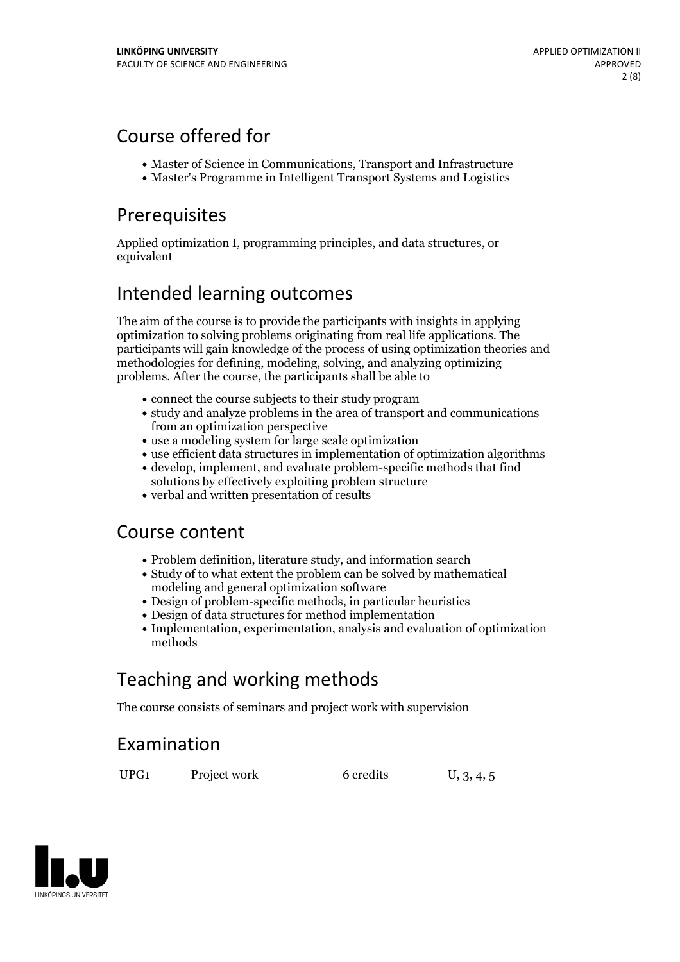## Course offered for

- Master of Science in Communications, Transport and Infrastructure
- Master's Programme in Intelligent Transport Systems and Logistics

## Prerequisites

Applied optimization I, programming principles, and data structures, or equivalent

## Intended learning outcomes

The aim of the course is to provide the participants with insights in applying optimization to solving problems originating from real life applications. The participants will gain knowledge of the process of using optimization theories and methodologies for defining, modeling, solving, and analyzing optimizing problems. After the course, the participants shall be able to

- connect the course subjects to their study program
- study and analyze problems in the area of transport and communications from an optimization perspective
- use a modeling system for large scale optimization
- use efficient data structures in implementation of optimization algorithms
- develop, implement, and evaluate problem-specific methods that find solutions by effectively exploiting problem structure
- verbal and written presentation of results

## Course content

- Problem definition, literature study, and information search
- Study of to what extent the problem can be solved by mathematical modeling and general optimization software
- Design of problem-specific methods, in particular heuristics
- Design of data structures for method implementation
- Implementation, experimentation, analysis and evaluation of optimization methods

# Teaching and working methods

The course consists of seminars and project work with supervision

## Examination

UPG1 Project work 6 credits U, 3, 4, 5

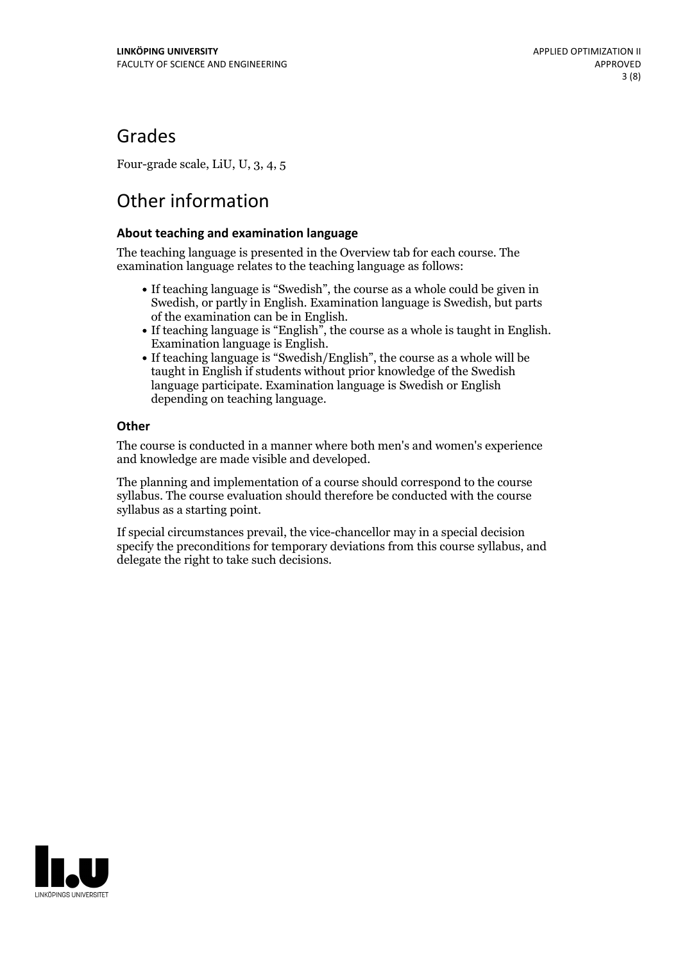## Grades

Four-grade scale, LiU, U, 3, 4, 5

# Other information

### **About teaching and examination language**

The teaching language is presented in the Overview tab for each course. The examination language relates to the teaching language as follows:

- If teaching language is "Swedish", the course as a whole could be given in Swedish, or partly in English. Examination language is Swedish, but parts
- of the examination can be in English. If teaching language is "English", the course as <sup>a</sup> whole is taught in English. Examination language is English. If teaching language is "Swedish/English", the course as <sup>a</sup> whole will be
- taught in English if students without prior knowledge of the Swedish language participate. Examination language is Swedish or English depending on teaching language.

### **Other**

The course is conducted in a manner where both men's and women's experience and knowledge are made visible and developed.

The planning and implementation of a course should correspond to the course syllabus. The course evaluation should therefore be conducted with the course syllabus as a starting point.

If special circumstances prevail, the vice-chancellor may in a special decision specify the preconditions for temporary deviations from this course syllabus, and delegate the right to take such decisions.

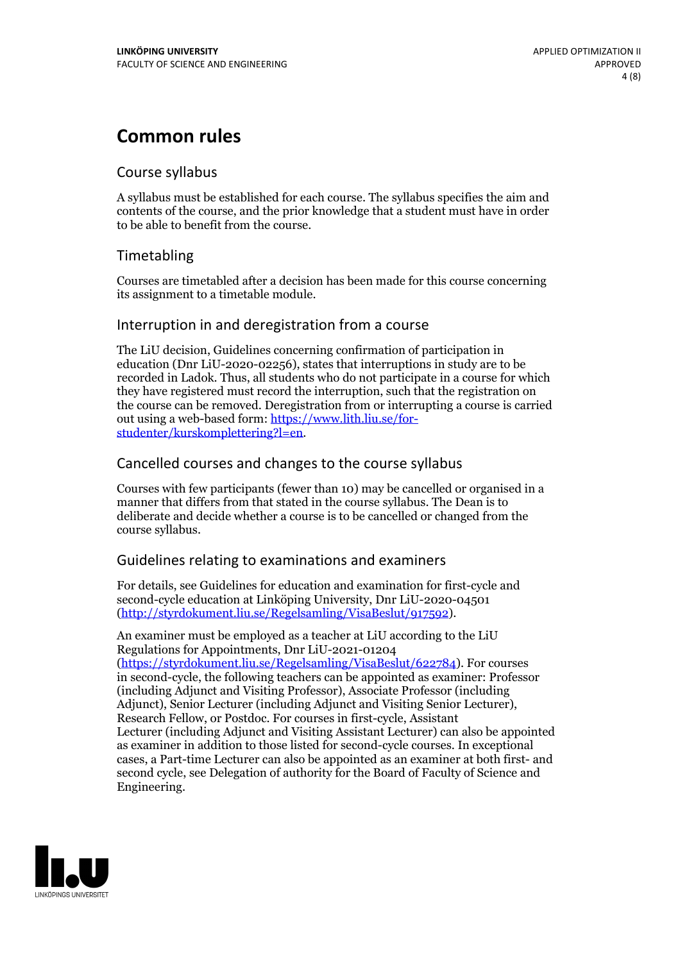## **Common rules**

## Course syllabus

A syllabus must be established for each course. The syllabus specifies the aim and contents of the course, and the prior knowledge that a student must have in order to be able to benefit from the course.

## Timetabling

Courses are timetabled after a decision has been made for this course concerning its assignment to a timetable module.

## Interruption in and deregistration from a course

The LiU decision, Guidelines concerning confirmation of participation in education (Dnr LiU-2020-02256), states that interruptions in study are to be recorded in Ladok. Thus, all students who do not participate in a course for which they have registered must record the interruption, such that the registration on the course can be removed. Deregistration from or interrupting a course is carried out using <sup>a</sup> web-based form: https://www.lith.liu.se/for- [studenter/kurskomplettering?l=en.](https://www.lith.liu.se/for-studenter/kurskomplettering?l=en)

## Cancelled courses and changes to the course syllabus

Courses with few participants (fewer than 10) may be cancelled or organised in a manner that differs from that stated in the course syllabus. The Dean is to deliberate and decide whether a course is to be cancelled or changed from the course syllabus.

## Guidelines relating to examinations and examiners

For details, see Guidelines for education and examination for first-cycle and second-cycle education at Linköping University, Dnr LiU-2020-04501 [\(http://styrdokument.liu.se/Regelsamling/VisaBeslut/917592\)](http://styrdokument.liu.se/Regelsamling/VisaBeslut/917592).

An examiner must be employed as a teacher at LiU according to the LiU Regulations for Appointments, Dnr LiU-2021-01204 [\(https://styrdokument.liu.se/Regelsamling/VisaBeslut/622784](https://styrdokument.liu.se/Regelsamling/VisaBeslut/622784)). For courses in second-cycle, the following teachers can be appointed as examiner: Professor (including Adjunct and Visiting Professor), Associate Professor (including Adjunct), Senior Lecturer (including Adjunct and Visiting Senior Lecturer), Research Fellow, or Postdoc. For courses in first-cycle, Assistant Lecturer (including Adjunct and Visiting Assistant Lecturer) can also be appointed as examiner in addition to those listed for second-cycle courses. In exceptional cases, a Part-time Lecturer can also be appointed as an examiner at both first- and second cycle, see Delegation of authority for the Board of Faculty of Science and Engineering.

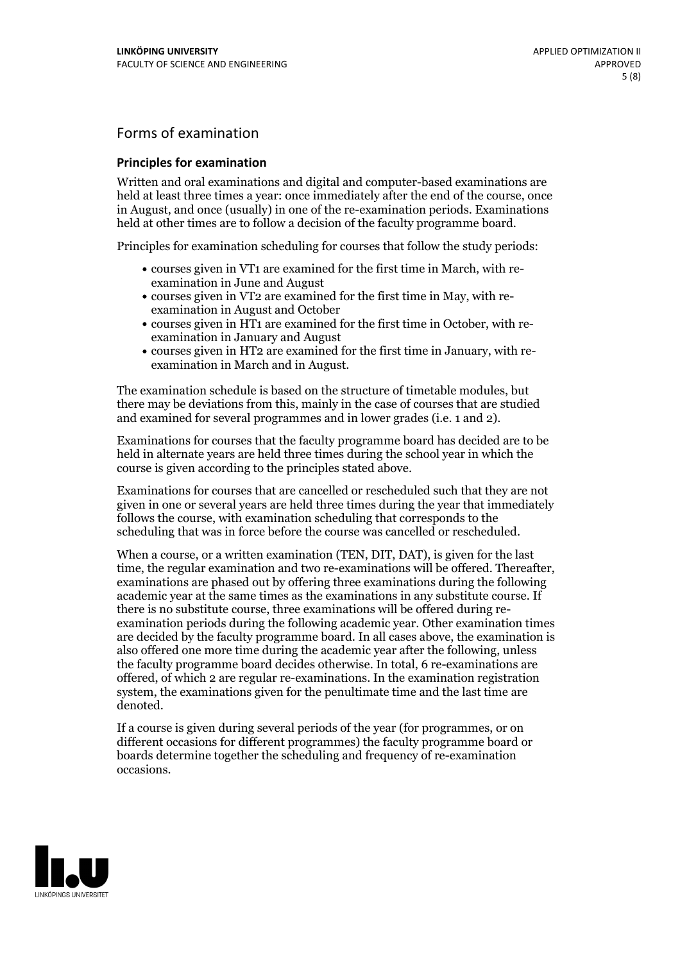## Forms of examination

#### **Principles for examination**

Written and oral examinations and digital and computer-based examinations are held at least three times a year: once immediately after the end of the course, once in August, and once (usually) in one of the re-examination periods. Examinations held at other times are to follow a decision of the faculty programme board.

Principles for examination scheduling for courses that follow the study periods:

- courses given in VT1 are examined for the first time in March, with re-examination in June and August
- courses given in VT2 are examined for the first time in May, with re-examination in August and October
- courses given in HT1 are examined for the first time in October, with re-examination in January and August
- courses given in HT2 are examined for the first time in January, with re-examination in March and in August.

The examination schedule is based on the structure of timetable modules, but there may be deviations from this, mainly in the case of courses that are studied and examined for several programmes and in lower grades (i.e. 1 and 2).

Examinations for courses that the faculty programme board has decided are to be held in alternate years are held three times during the school year in which the course is given according to the principles stated above.

Examinations for courses that are cancelled orrescheduled such that they are not given in one or several years are held three times during the year that immediately follows the course, with examination scheduling that corresponds to the scheduling that was in force before the course was cancelled or rescheduled.

When a course, or a written examination (TEN, DIT, DAT), is given for the last time, the regular examination and two re-examinations will be offered. Thereafter, examinations are phased out by offering three examinations during the following academic year at the same times as the examinations in any substitute course. If there is no substitute course, three examinations will be offered during re- examination periods during the following academic year. Other examination times are decided by the faculty programme board. In all cases above, the examination is also offered one more time during the academic year after the following, unless the faculty programme board decides otherwise. In total, 6 re-examinations are offered, of which 2 are regular re-examinations. In the examination registration system, the examinations given for the penultimate time and the last time are denoted.

If a course is given during several periods of the year (for programmes, or on different occasions for different programmes) the faculty programme board or boards determine together the scheduling and frequency of re-examination occasions.

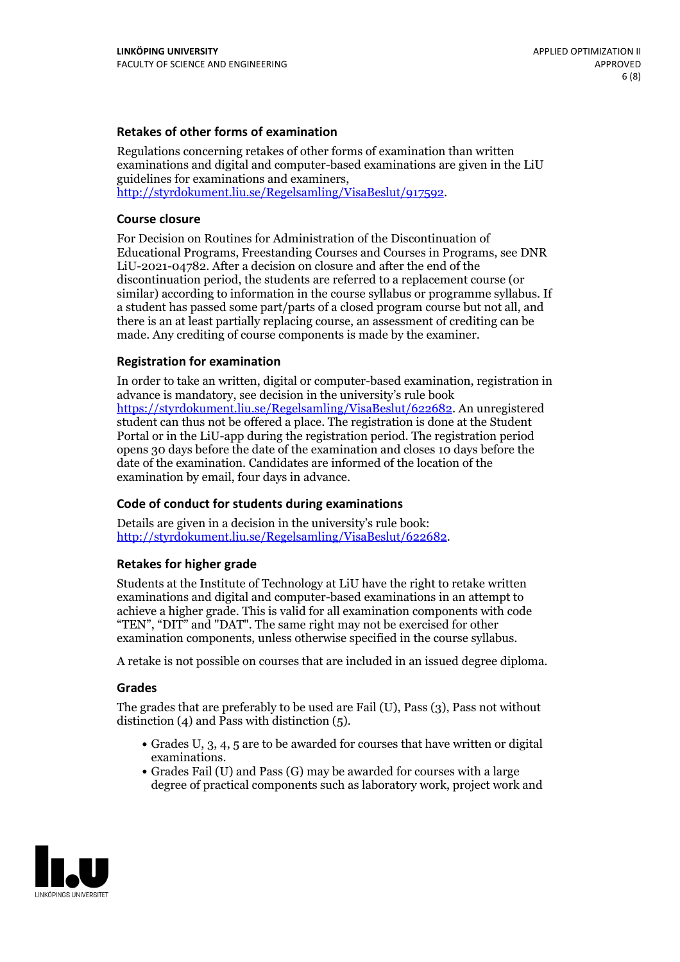### **Retakes of other forms of examination**

Regulations concerning retakes of other forms of examination than written examinations and digital and computer-based examinations are given in the LiU guidelines for examinations and examiners, [http://styrdokument.liu.se/Regelsamling/VisaBeslut/917592.](http://styrdokument.liu.se/Regelsamling/VisaBeslut/917592)

#### **Course closure**

For Decision on Routines for Administration of the Discontinuation of Educational Programs, Freestanding Courses and Courses in Programs, see DNR LiU-2021-04782. After a decision on closure and after the end of the discontinuation period, the students are referred to a replacement course (or similar) according to information in the course syllabus or programme syllabus. If a student has passed some part/parts of a closed program course but not all, and there is an at least partially replacing course, an assessment of crediting can be made. Any crediting of course components is made by the examiner.

### **Registration for examination**

In order to take an written, digital or computer-based examination, registration in advance is mandatory, see decision in the university's rule book [https://styrdokument.liu.se/Regelsamling/VisaBeslut/622682.](https://styrdokument.liu.se/Regelsamling/VisaBeslut/622682) An unregistered student can thus not be offered a place. The registration is done at the Student Portal or in the LiU-app during the registration period. The registration period opens 30 days before the date of the examination and closes 10 days before the date of the examination. Candidates are informed of the location of the examination by email, four days in advance.

### **Code of conduct for students during examinations**

Details are given in a decision in the university's rule book: <http://styrdokument.liu.se/Regelsamling/VisaBeslut/622682>.

#### **Retakes for higher grade**

Students at the Institute of Technology at LiU have the right to retake written examinations and digital and computer-based examinations in an attempt to achieve a higher grade. This is valid for all examination components with code "TEN", "DIT" and "DAT". The same right may not be exercised for other examination components, unless otherwise specified in the course syllabus.

A retake is not possible on courses that are included in an issued degree diploma.

#### **Grades**

The grades that are preferably to be used are Fail (U), Pass (3), Pass not without distinction  $(4)$  and Pass with distinction  $(5)$ .

- Grades U, 3, 4, 5 are to be awarded for courses that have written or digital examinations.<br>• Grades Fail (U) and Pass (G) may be awarded for courses with a large
- degree of practical components such as laboratory work, project work and

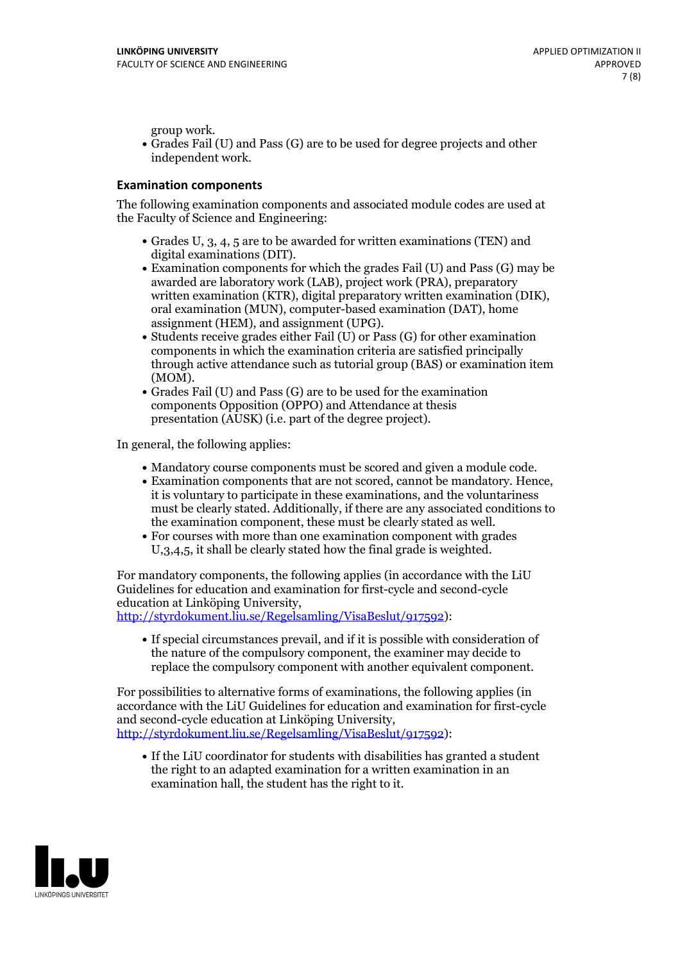group work.<br>• Grades Fail (U) and Pass (G) are to be used for degree projects and other independent work.

#### **Examination components**

The following examination components and associated module codes are used at the Faculty of Science and Engineering:

- Grades U, 3, 4, 5 are to be awarded for written examinations (TEN) and
- digital examinations (DIT).<br>• Examination components for which the grades Fail (U) and Pass (G) may be awarded are laboratory work (LAB), project work (PRA), preparatory written examination (KTR), digital preparatory written examination (DIK), oral examination (MUN), computer-based examination (DAT), home
- assignment (HEM), and assignment (UPG).<br>• Students receive grades either Fail (U) or Pass (G) for other examination components in which the examination criteria are satisfied principally through active attendance such as tutorial group (BAS) or examination item
- (MOM).<br>• Grades Fail (U) and Pass (G) are to be used for the examination components Opposition (OPPO) and Attendance at thesis presentation (AUSK) (i.e. part of the degree project).

In general, the following applies:

- 
- Mandatory course components must be scored and given <sup>a</sup> module code. Examination components that are not scored, cannot be mandatory. Hence, it is voluntary to participate in these examinations, and the voluntariness must be clearly stated. Additionally, if there are any associated conditions to
- the examination component, these must be clearly stated as well.<br>• For courses with more than one examination component with grades U,3,4,5, it shall be clearly stated how the final grade is weighted.

For mandatory components, the following applies (in accordance with the LiU Guidelines for education and examination for first-cycle and second-cycle education at Linköping University,<br>[http://styrdokument.liu.se/Regelsamling/VisaBeslut/917592\)](http://styrdokument.liu.se/Regelsamling/VisaBeslut/917592):

If special circumstances prevail, and if it is possible with consideration of the nature of the compulsory component, the examiner may decide to replace the compulsory component with another equivalent component.

For possibilities to alternative forms of examinations, the following applies (in accordance with the LiU Guidelines for education and examination for first-cycle [http://styrdokument.liu.se/Regelsamling/VisaBeslut/917592\)](http://styrdokument.liu.se/Regelsamling/VisaBeslut/917592):

If the LiU coordinator for students with disabilities has granted a student the right to an adapted examination for a written examination in an examination hall, the student has the right to it.